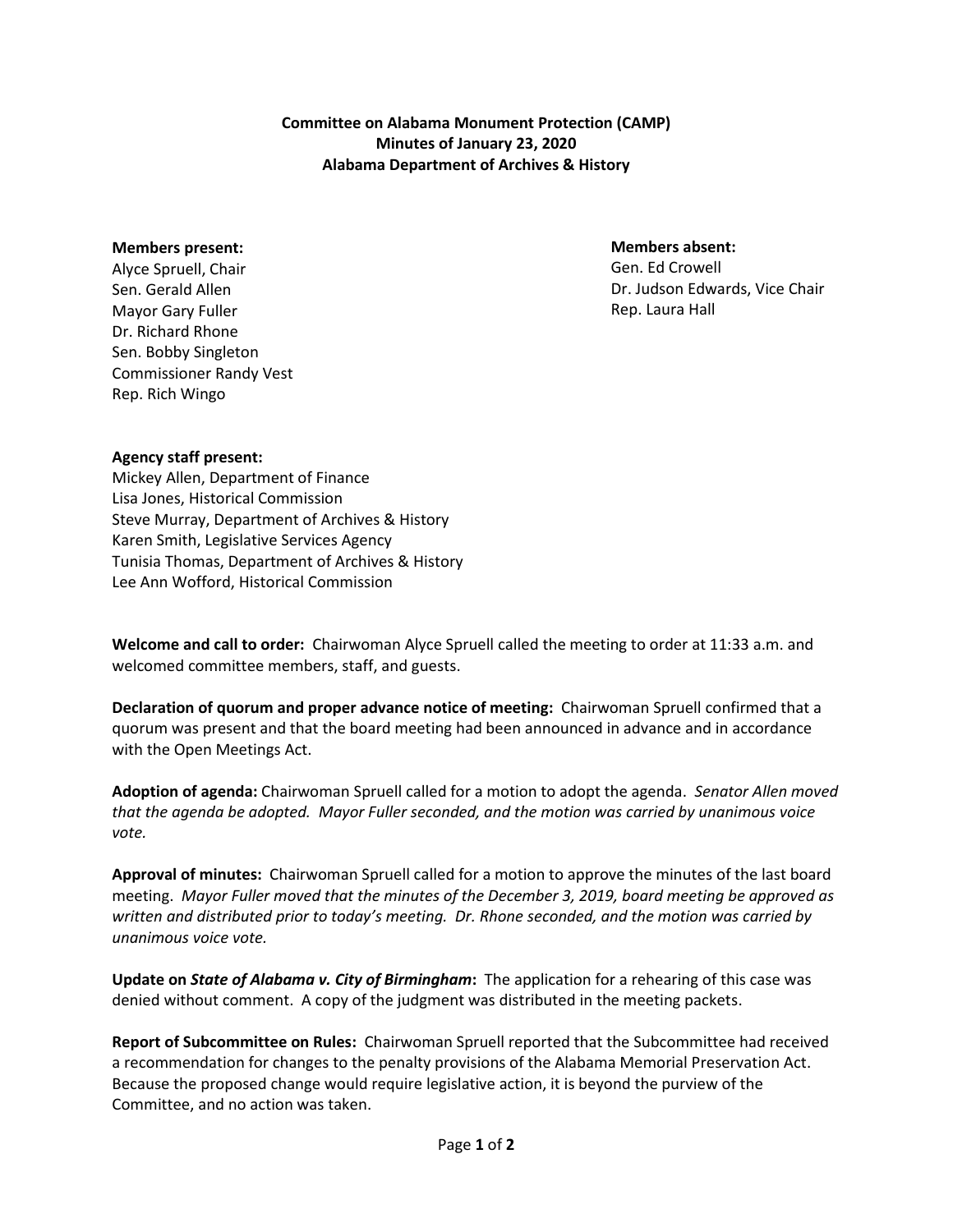**Committee on Alabama Monument Protection (CAMP) Minutes of January 23, 2020 Alabama Department of Archives & History**

## **Members present:**

Alyce Spruell, Chair Sen. Gerald Allen Mayor Gary Fuller Dr. Richard Rhone Sen. Bobby Singleton Commissioner Randy Vest Rep. Rich Wingo

## **Members absent:**

Gen. Ed Crowell Dr. Judson Edwards, Vice Chair Rep. Laura Hall

## **Agency staff present:**

Mickey Allen, Department of Finance Lisa Jones, Historical Commission Steve Murray, Department of Archives & History Karen Smith, Legislative Services Agency Tunisia Thomas, Department of Archives & History Lee Ann Wofford, Historical Commission

**Welcome and call to order:** Chairwoman Alyce Spruell called the meeting to order at 11:33 a.m. and welcomed committee members, staff, and guests.

**Declaration of quorum and proper advance notice of meeting:** Chairwoman Spruell confirmed that a quorum was present and that the board meeting had been announced in advance and in accordance with the Open Meetings Act.

**Adoption of agenda:** Chairwoman Spruell called for a motion to adopt the agenda. *Senator Allen moved that the agenda be adopted. Mayor Fuller seconded, and the motion was carried by unanimous voice vote.*

**Approval of minutes:** Chairwoman Spruell called for a motion to approve the minutes of the last board meeting. *Mayor Fuller moved that the minutes of the December 3, 2019, board meeting be approved as written and distributed prior to today's meeting. Dr. Rhone seconded, and the motion was carried by unanimous voice vote.*

**Update on** *State of Alabama v. City of Birmingham***:** The application for a rehearing of this case was denied without comment. A copy of the judgment was distributed in the meeting packets.

**Report of Subcommittee on Rules:** Chairwoman Spruell reported that the Subcommittee had received a recommendation for changes to the penalty provisions of the Alabama Memorial Preservation Act. Because the proposed change would require legislative action, it is beyond the purview of the Committee, and no action was taken.